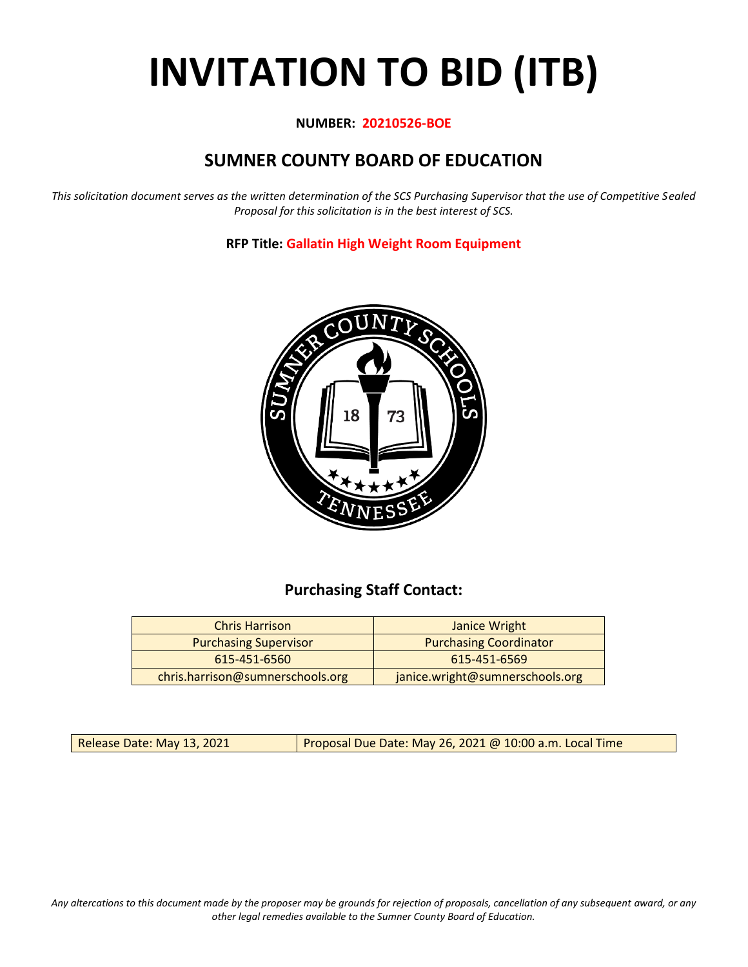# **INVITATION TO BID (ITB)**

# **NUMBER: 20210526-BOE**

# **SUMNER COUNTY BOARD OF EDUCATION**

*This solicitation document serves as the written determination of the SCS Purchasing Supervisor that the use of Competitive Sealed Proposal for this solicitation is in the best interest of SCS.*

**RFP Title: Gallatin High Weight Room Equipment**



# **Purchasing Staff Contact:**

| <b>Chris Harrison</b>            | Janice Wright                   |
|----------------------------------|---------------------------------|
| <b>Purchasing Supervisor</b>     | <b>Purchasing Coordinator</b>   |
| 615-451-6560                     | 615-451-6569                    |
| chris.harrison@sumnerschools.org | janice.wright@sumnerschools.org |

Release Date: May 13, 2021 **Proposal Due Date: May 26, 2021 @ 10:00 a.m. Local Time** 

*Any altercations to this document made by the proposer may be grounds for rejection of proposals, cancellation of any subsequent award, or any other legal remedies available to the Sumner County Board of Education.*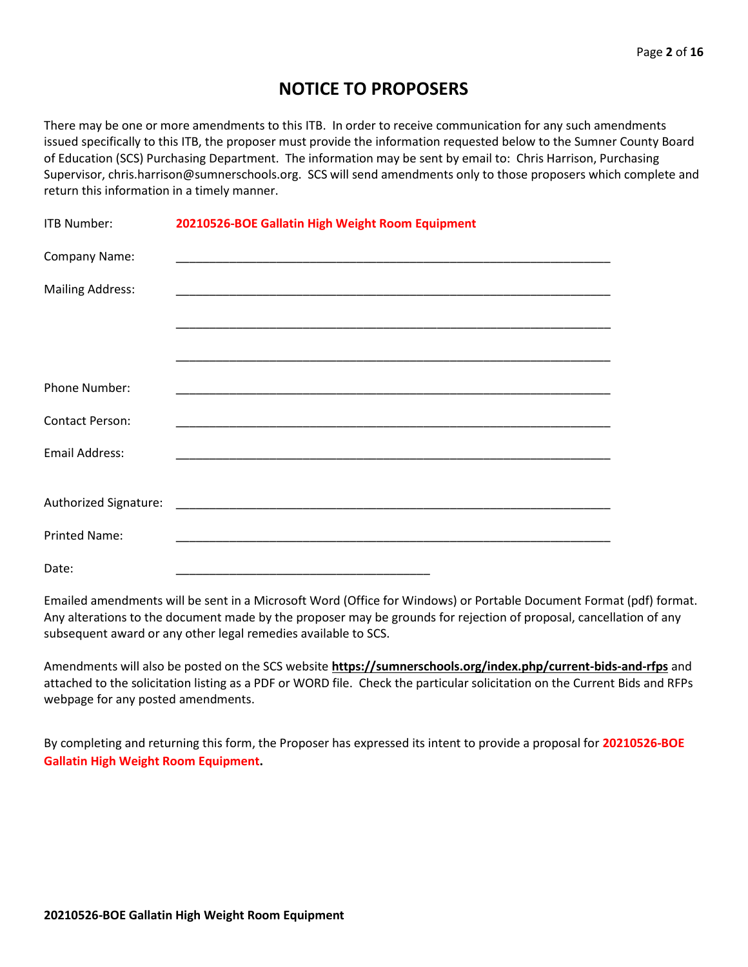# **NOTICE TO PROPOSERS**

There may be one or more amendments to this ITB. In order to receive communication for any such amendments issued specifically to this ITB, the proposer must provide the information requested below to the Sumner County Board of Education (SCS) Purchasing Department. The information may be sent by email to: Chris Harrison, Purchasing Supervisor, chris.harrison@sumnerschools.org. SCS will send amendments only to those proposers which complete and return this information in a timely manner.

| ITB Number:             | 20210526-BOE Gallatin High Weight Room Equipment |
|-------------------------|--------------------------------------------------|
| Company Name:           |                                                  |
| <b>Mailing Address:</b> |                                                  |
|                         |                                                  |
|                         |                                                  |
| <b>Phone Number:</b>    |                                                  |
|                         |                                                  |
| <b>Contact Person:</b>  |                                                  |
| <b>Email Address:</b>   |                                                  |
|                         |                                                  |
|                         |                                                  |
| <b>Printed Name:</b>    |                                                  |
| Date:                   |                                                  |

Emailed amendments will be sent in a Microsoft Word (Office for Windows) or Portable Document Format (pdf) format. Any alterations to the document made by the proposer may be grounds for rejection of proposal, cancellation of any subsequent award or any other legal remedies available to SCS.

Amendments will also be posted on the SCS website **https://sumnerschools.org/index.php/current-bids-and-rfps** and attached to the solicitation listing as a PDF or WORD file. Check the particular solicitation on the Current Bids and RFPs webpage for any posted amendments.

By completing and returning this form, the Proposer has expressed its intent to provide a proposal for **20210526-BOE Gallatin High Weight Room Equipment.**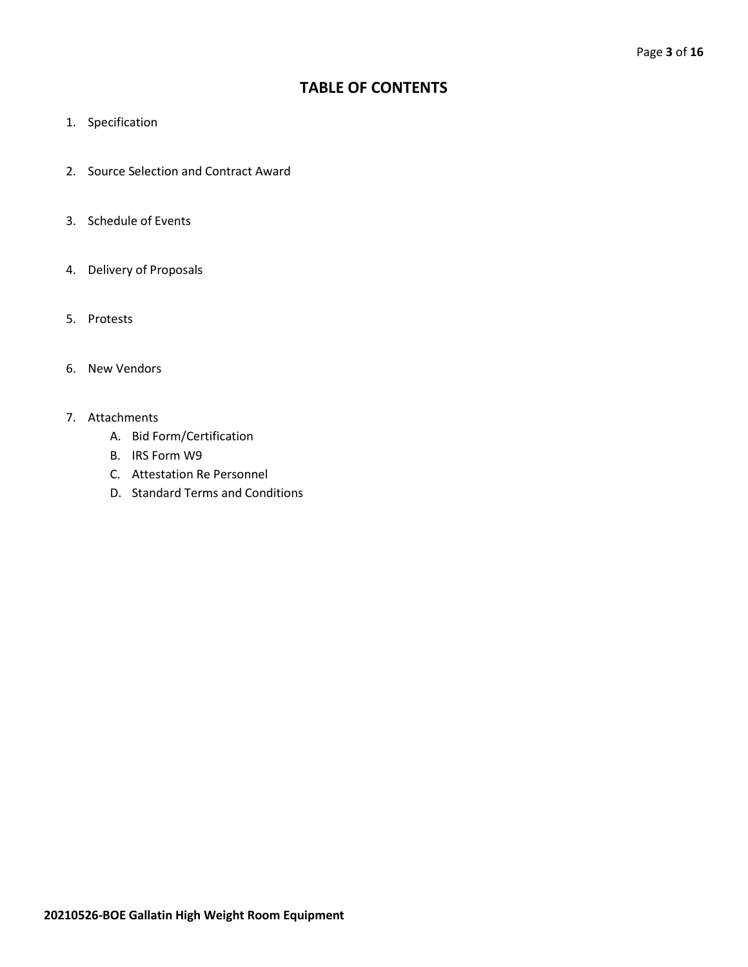# **TABLE OF CONTENTS**

- 1. Specification
- 2. Source Selection and Contract Award
- 3. Schedule of Events
- 4. Delivery of Proposals
- 5. Protests
- 6. New Vendors
- 7. Attachments
	- A. Bid Form/Certification
	- B. IRS Form W9
	- C. Attestation Re Personnel
	- D. Standard Terms and Conditions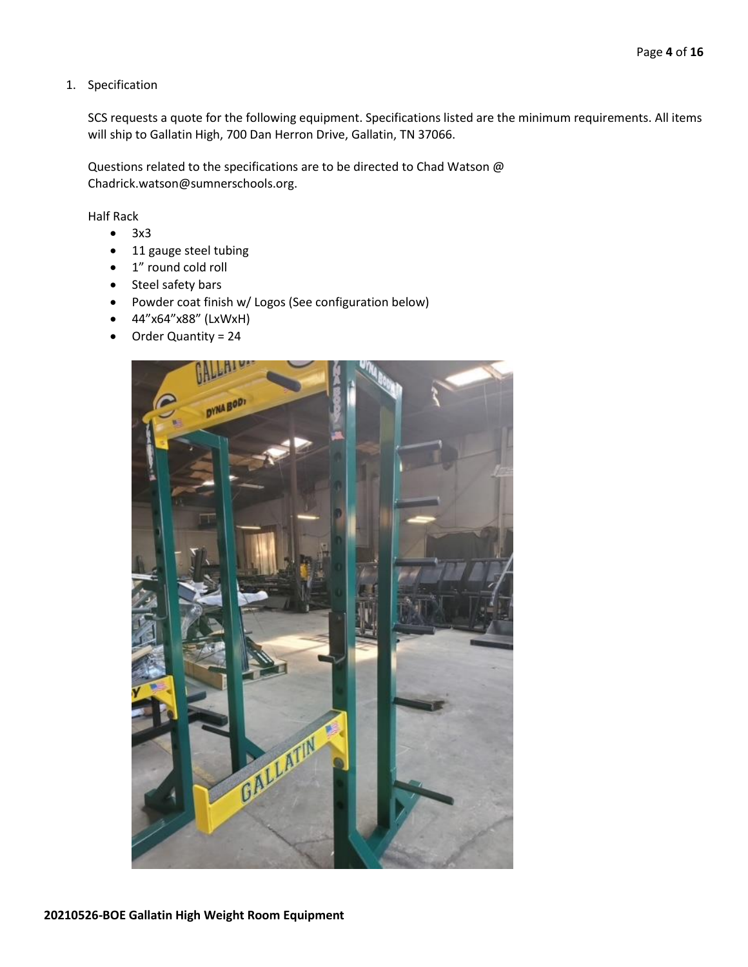#### 1. Specification

SCS requests a quote for the following equipment. Specifications listed are the minimum requirements. All items will ship to Gallatin High, 700 Dan Herron Drive, Gallatin, TN 37066.

Questions related to the specifications are to be directed to Chad Watson @ Chadrick.watson@sumnerschools.org.

Half Rack

- 3x3
- 11 gauge steel tubing
- 1" round cold roll
- Steel safety bars
- Powder coat finish w/ Logos (See configuration below)
- 44"x64"x88" (LxWxH)
- Order Quantity = 24

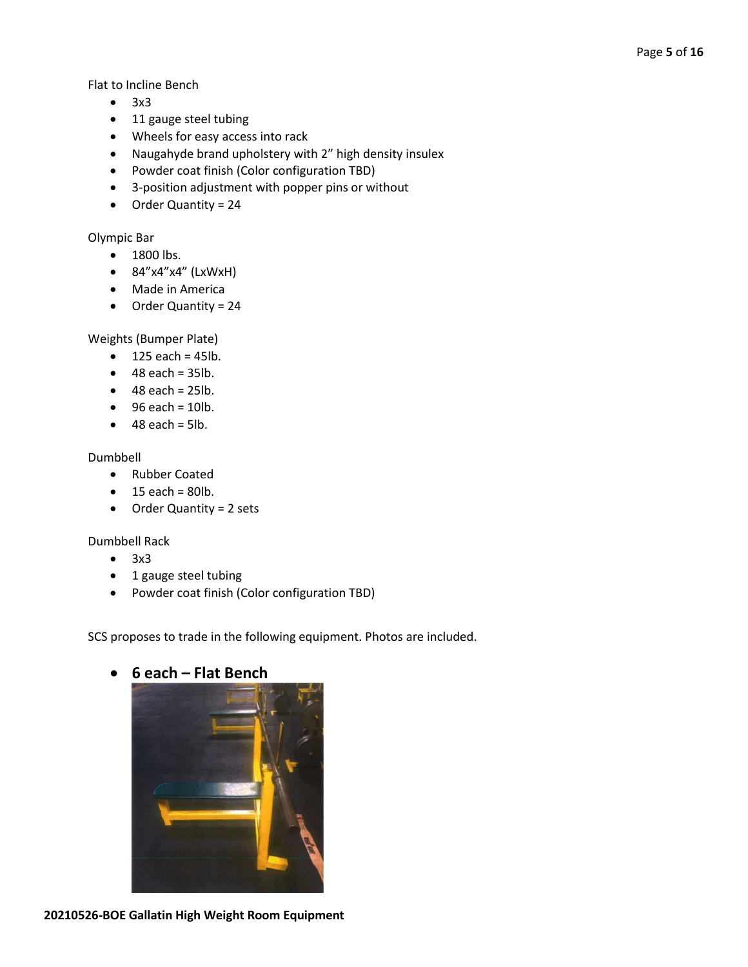Flat to Incline Bench

- 3x3
- 11 gauge steel tubing
- Wheels for easy access into rack
- Naugahyde brand upholstery with 2" high density insulex
- Powder coat finish (Color configuration TBD)
- 3-position adjustment with popper pins or without
- Order Quantity = 24

## Olympic Bar

- 1800 lbs.
- 84"x4"x4" (LxWxH)
- Made in America
- Order Quantity = 24

## Weights (Bumper Plate)

- $\bullet$  125 each = 45lb.
- $\bullet$  48 each = 35lb.
- $\bullet$  48 each = 25lb.
- $\bullet$  96 each = 10lb.
- $\bullet$  48 each = 5lb.

## Dumbbell

- Rubber Coated
- $\bullet$  15 each = 80lb.
- Order Quantity = 2 sets

## Dumbbell Rack

- 3x3
- 1 gauge steel tubing
- Powder coat finish (Color configuration TBD)

SCS proposes to trade in the following equipment. Photos are included.



# • **6 each – Flat Bench**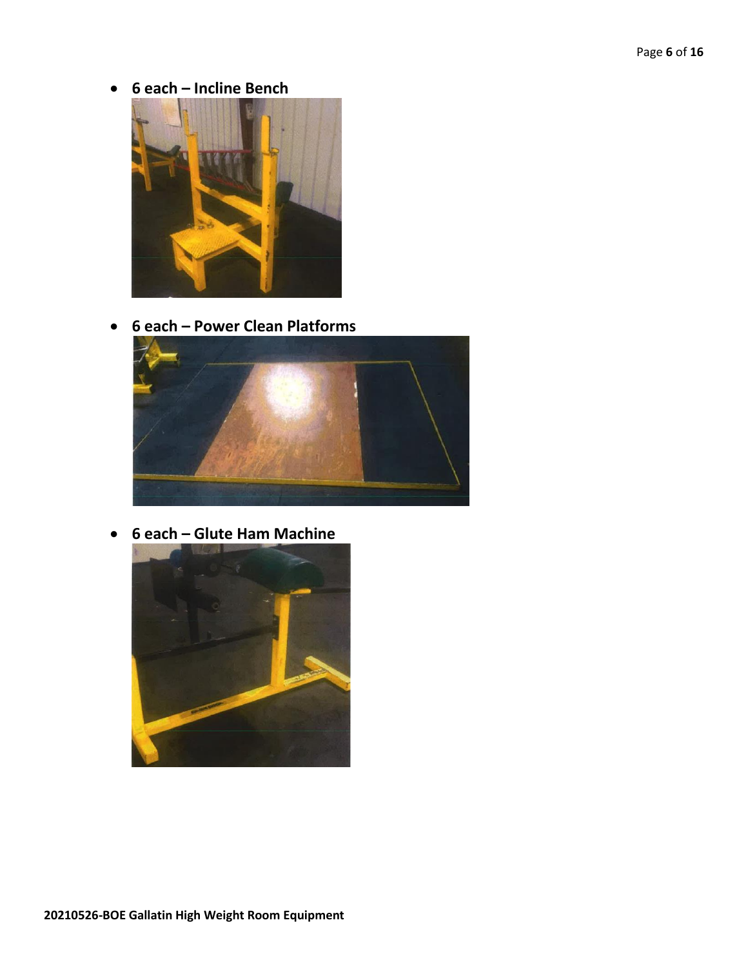• **6 each – Incline Bench**



• **6 each – Power Clean Platforms**



• **6 each – Glute Ham Machine**

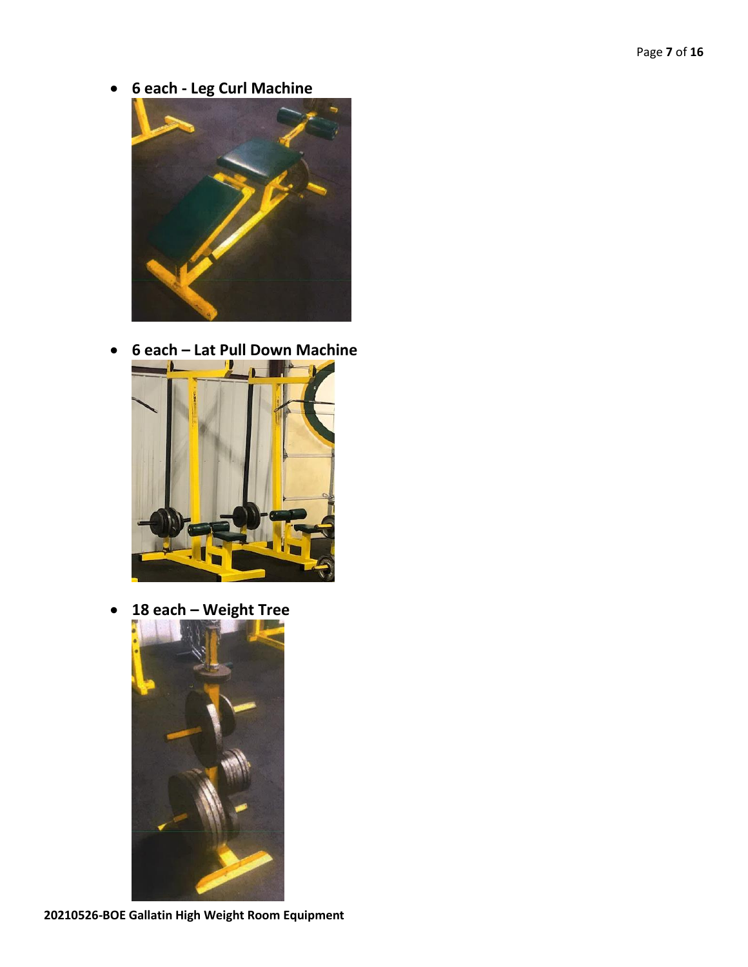• **6 each - Leg Curl Machine**



• **6 each – Lat Pull Down Machine**



• **18 each – Weight Tree**

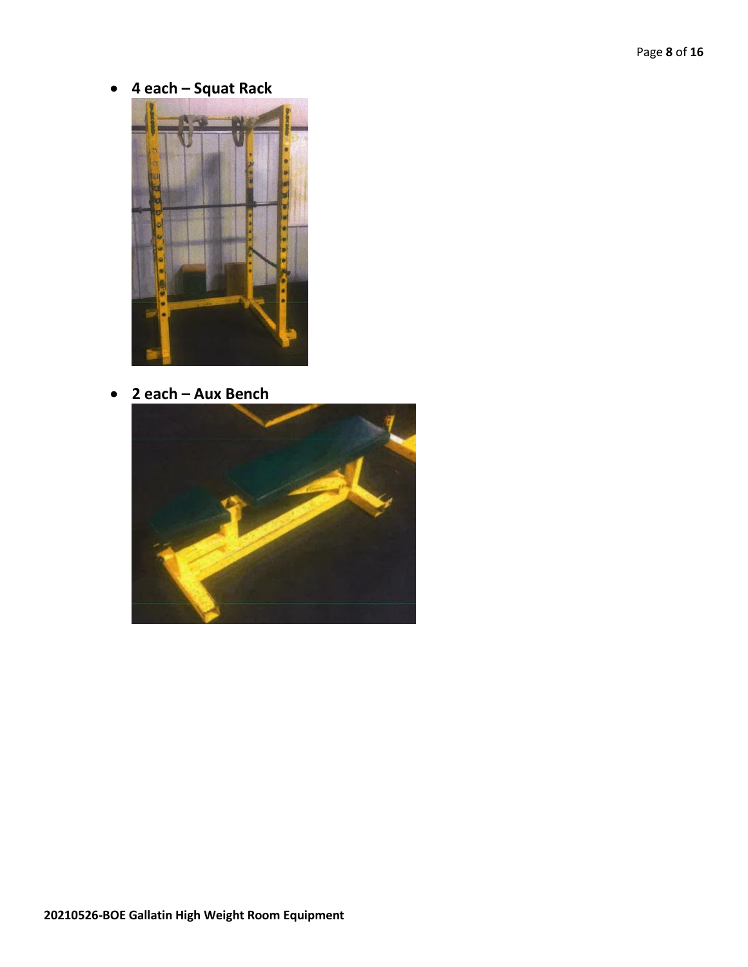• **4 each – Squat Rack**



• **2 each – Aux Bench**

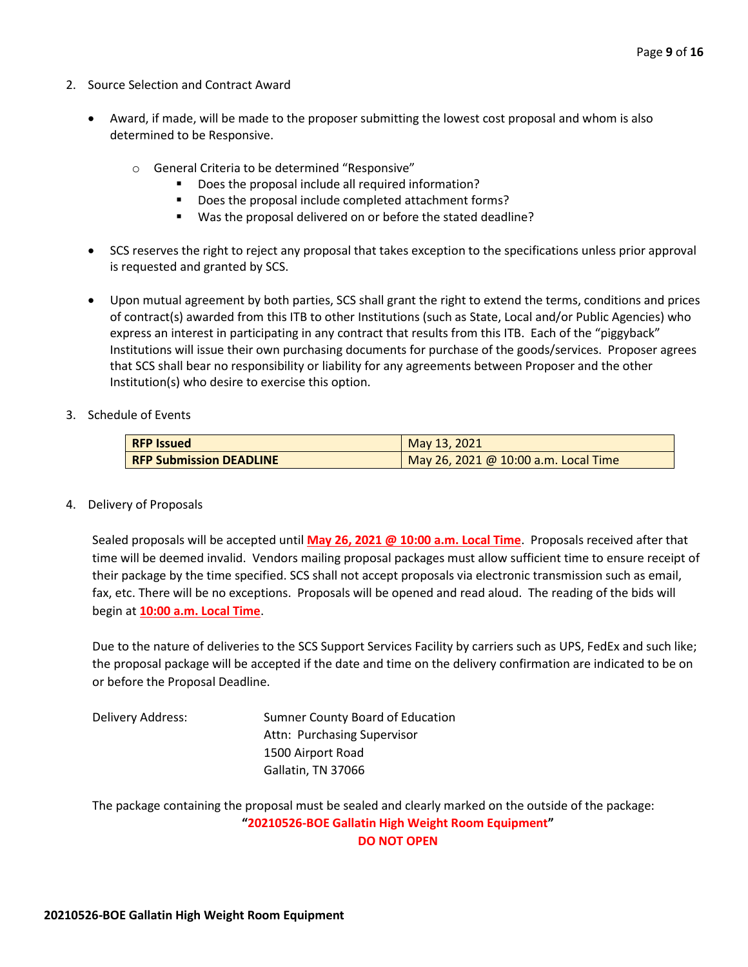- 2. Source Selection and Contract Award
	- Award, if made, will be made to the proposer submitting the lowest cost proposal and whom is also determined to be Responsive.
		- o General Criteria to be determined "Responsive"
			- Does the proposal include all required information?
			- Does the proposal include completed attachment forms?
			- Was the proposal delivered on or before the stated deadline?
	- SCS reserves the right to reject any proposal that takes exception to the specifications unless prior approval is requested and granted by SCS.
	- Upon mutual agreement by both parties, SCS shall grant the right to extend the terms, conditions and prices of contract(s) awarded from this ITB to other Institutions (such as State, Local and/or Public Agencies) who express an interest in participating in any contract that results from this ITB. Each of the "piggyback" Institutions will issue their own purchasing documents for purchase of the goods/services. Proposer agrees that SCS shall bear no responsibility or liability for any agreements between Proposer and the other Institution(s) who desire to exercise this option.
- 3. Schedule of Events

| <b>RFP Issued</b>              | May 13, 2021                         |  |  |  |  |  |
|--------------------------------|--------------------------------------|--|--|--|--|--|
| <b>RFP Submission DEADLINE</b> | May 26, 2021 @ 10:00 a.m. Local Time |  |  |  |  |  |

4. Delivery of Proposals

Sealed proposals will be accepted until **May 26, 2021 @ 10:00 a.m. Local Time**. Proposals received after that time will be deemed invalid. Vendors mailing proposal packages must allow sufficient time to ensure receipt of their package by the time specified. SCS shall not accept proposals via electronic transmission such as email, fax, etc. There will be no exceptions. Proposals will be opened and read aloud. The reading of the bids will begin at **10:00 a.m. Local Time**.

Due to the nature of deliveries to the SCS Support Services Facility by carriers such as UPS, FedEx and such like; the proposal package will be accepted if the date and time on the delivery confirmation are indicated to be on or before the Proposal Deadline.

Delivery Address: Sumner County Board of Education Attn: Purchasing Supervisor 1500 Airport Road Gallatin, TN 37066

The package containing the proposal must be sealed and clearly marked on the outside of the package: **"20210526-BOE Gallatin High Weight Room Equipment" DO NOT OPEN**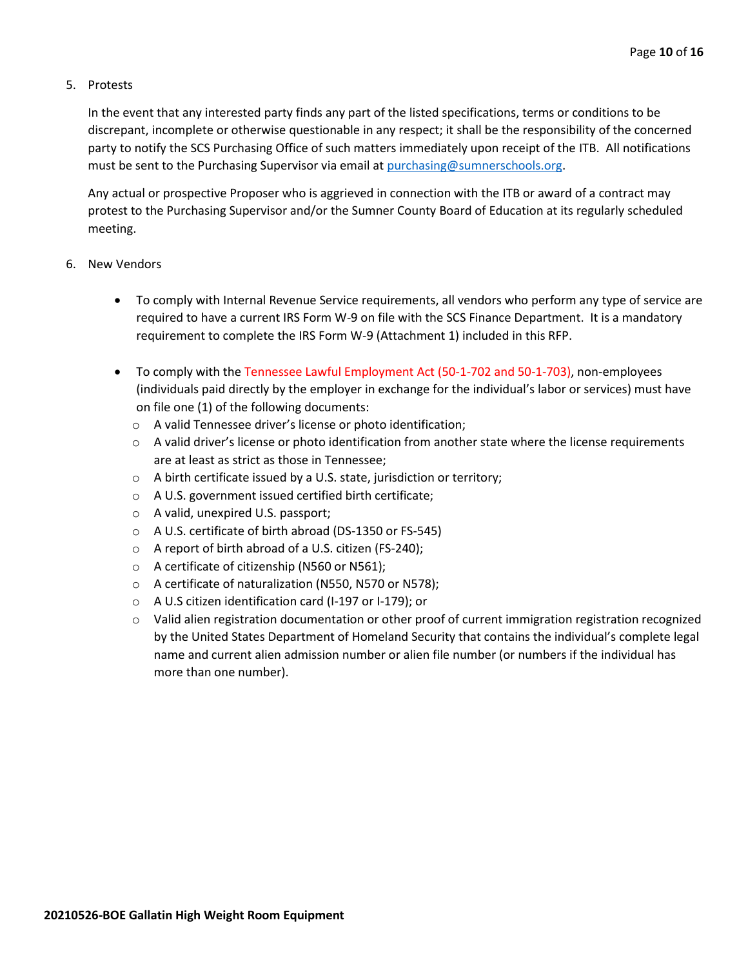#### 5. Protests

In the event that any interested party finds any part of the listed specifications, terms or conditions to be discrepant, incomplete or otherwise questionable in any respect; it shall be the responsibility of the concerned party to notify the SCS Purchasing Office of such matters immediately upon receipt of the ITB. All notifications must be sent to the Purchasing Supervisor via email at [purchasing@sumnerschools.org.](mailto:purchasing@sumnerschools.org)

Any actual or prospective Proposer who is aggrieved in connection with the ITB or award of a contract may protest to the Purchasing Supervisor and/or the Sumner County Board of Education at its regularly scheduled meeting.

#### 6. New Vendors

- To comply with Internal Revenue Service requirements, all vendors who perform any type of service are required to have a current IRS Form W-9 on file with the SCS Finance Department. It is a mandatory requirement to complete the IRS Form W-9 (Attachment 1) included in this RFP.
- To comply with the Tennessee Lawful Employment Act (50-1-702 and 50-1-703), non-employees (individuals paid directly by the employer in exchange for the individual's labor or services) must have on file one (1) of the following documents:
	- o A valid Tennessee driver's license or photo identification;
	- $\circ$  A valid driver's license or photo identification from another state where the license requirements are at least as strict as those in Tennessee;
	- o A birth certificate issued by a U.S. state, jurisdiction or territory;
	- o A U.S. government issued certified birth certificate;
	- o A valid, unexpired U.S. passport;
	- o A U.S. certificate of birth abroad (DS-1350 or FS-545)
	- o A report of birth abroad of a U.S. citizen (FS-240);
	- o A certificate of citizenship (N560 or N561);
	- o A certificate of naturalization (N550, N570 or N578);
	- o A U.S citizen identification card (I-197 or I-179); or
	- $\circ$  Valid alien registration documentation or other proof of current immigration registration recognized by the United States Department of Homeland Security that contains the individual's complete legal name and current alien admission number or alien file number (or numbers if the individual has more than one number).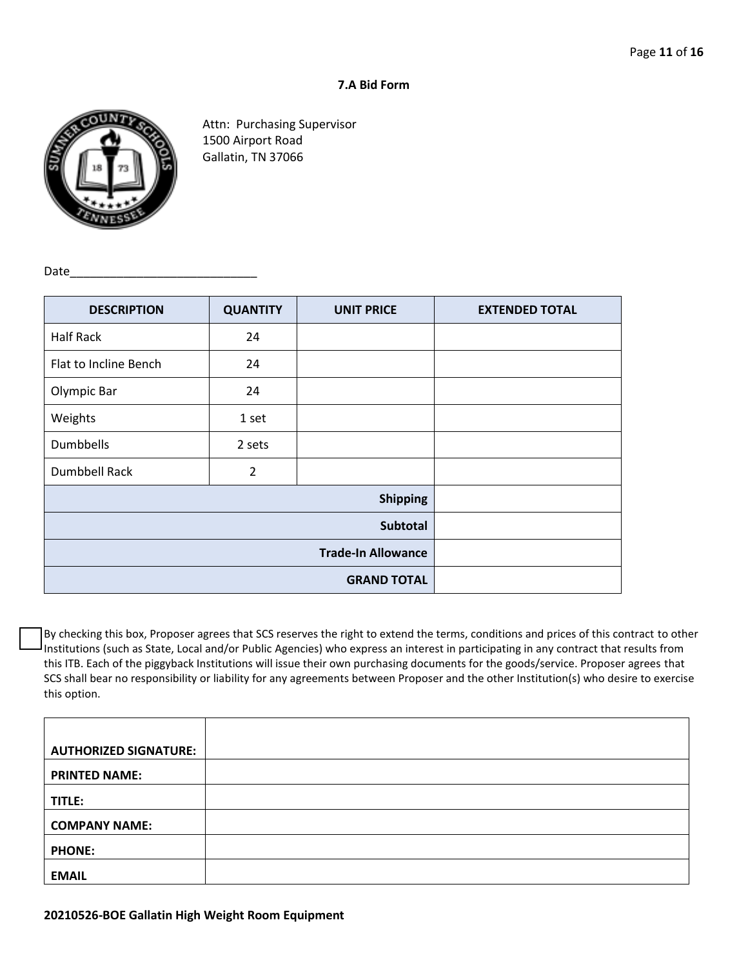#### **7.A Bid Form**



Attn: Purchasing Supervisor 1500 Airport Road Gallatin, TN 37066

Date

| <b>DESCRIPTION</b>    | <b>QUANTITY</b> | <b>UNIT PRICE</b> | <b>EXTENDED TOTAL</b> |
|-----------------------|-----------------|-------------------|-----------------------|
| <b>Half Rack</b>      | 24              |                   |                       |
| Flat to Incline Bench | 24              |                   |                       |
| Olympic Bar           | 24              |                   |                       |
| Weights               | 1 set           |                   |                       |
| Dumbbells             | 2 sets          |                   |                       |
| <b>Dumbbell Rack</b>  | $\overline{2}$  |                   |                       |
|                       |                 |                   |                       |
|                       |                 |                   |                       |
|                       |                 |                   |                       |
|                       |                 |                   |                       |

By checking this box, Proposer agrees that SCS reserves the right to extend the terms, conditions and prices of this contract to other Institutions (such as State, Local and/or Public Agencies) who express an interest in participating in any contract that results from this ITB. Each of the piggyback Institutions will issue their own purchasing documents for the goods/service. Proposer agrees that SCS shall bear no responsibility or liability for any agreements between Proposer and the other Institution(s) who desire to exercise this option.

| <b>AUTHORIZED SIGNATURE:</b> |  |
|------------------------------|--|
| <b>PRINTED NAME:</b>         |  |
| TITLE:                       |  |
| <b>COMPANY NAME:</b>         |  |
| <b>PHONE:</b>                |  |
| <b>EMAIL</b>                 |  |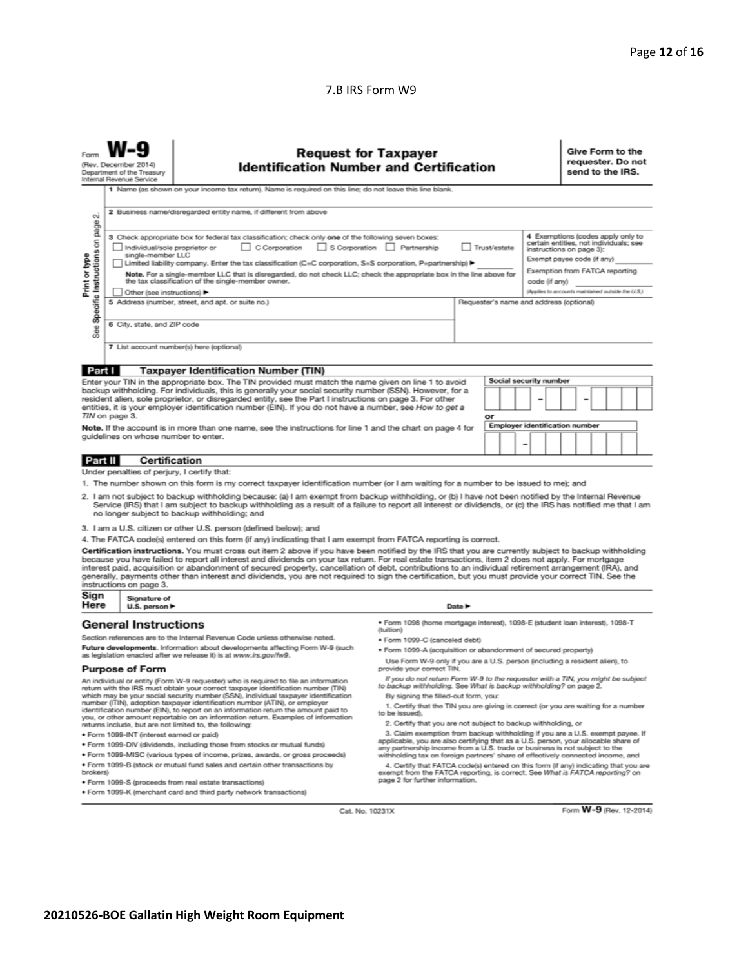### 7.B IRS Form W9

| 2 Business name/disregarded entity name, if different from above<br>$\sim$<br>page<br>4 Exemptions (codes apply only to<br>3 Check appropriate box for federal tax classification; check only one of the following seven boxes:<br>Specific Instructions on<br>certain entities, not individuals; see<br>S Corporation Partnership<br>$\Box$ C Corporation<br>Trust/estate<br>Individual/sole proprietor or<br>instructions on page 3):<br>Print or type<br>single-member LLC<br>Exempt payee code (if any)<br>Limited liability company. Enter the tax classification (C=C corporation, S=S corporation, P=partnership) ▶<br>Exemption from FATCA reporting<br>Note. For a single-member LLC that is disregarded, do not check LLC; check the appropriate box in the line above for<br>the tax classification of the single-member owner.<br>code (if any)<br>(Applies to accounts maintained outside the U.S.)<br>Other (see instructions) ▶<br>5 Address (number, street, and apt. or suite no.)<br>Requester's name and address (optional)<br>6 City, state, and ZIP code<br>See<br>7 List account number(s) here (optional)<br>Part I<br><b>Taxpayer Identification Number (TIN)</b><br>Social security number<br>Enter your TIN in the appropriate box. The TIN provided must match the name given on line 1 to avoid<br>backup withholding. For individuals, this is generally your social security number (SSN). However, for a<br>resident alien, sole proprietor, or disregarded entity, see the Part I instructions on page 3. For other<br>entities, it is your employer identification number (EIN). If you do not have a number, see How to get a<br>TIN on page 3.<br>or<br><b>Employer identification number</b><br>Note. If the account is in more than one name, see the instructions for line 1 and the chart on page 4 for<br>guidelines on whose number to enter.<br>-<br>Certification<br>Part II<br>Under penalties of perjury, I certify that:<br>1. The number shown on this form is my correct taxpayer identification number (or I am waiting for a number to be issued to me); and<br>2. I am not subject to backup withholding because: (a) I am exempt from backup withholding, or (b) I have not been notified by the Internal Revenue<br>Service (IRS) that I am subject to backup withholding as a result of a failure to report all interest or dividends, or (c) the IRS has notified me that I am<br>no longer subject to backup withholding; and<br>3. I am a U.S. citizen or other U.S. person (defined below); and<br>4. The FATCA code(s) entered on this form (if any) indicating that I am exempt from FATCA reporting is correct.<br>Certification instructions. You must cross out item 2 above if you have been notified by the IRS that you are currently subject to backup withholding<br>because you have failed to report all interest and dividends on your tax return. For real estate transactions, item 2 does not apply. For mortgage<br>interest paid, acquisition or abandonment of secured property, cancellation of debt, contributions to an individual retirement arrangement (IRA), and<br>generally, payments other than interest and dividends, you are not required to sign the certification, but you must provide your correct TIN. See the<br>instructions on page 3.<br>Sign<br>Signature of<br>Here<br>Date $\blacktriangleright$<br>U.S. person $\blacktriangleright$<br>· Form 1098 (home mortgage interest), 1098-E (student loan interest), 1098-T<br><b>General Instructions</b><br>(tuition)<br>Section references are to the Internal Revenue Code unless otherwise noted.<br>· Form 1099-C (canceled debt)<br>Future developments. Information about developments affecting Form W-9 (such<br>· Form 1099-A (acquisition or abandonment of secured property)<br>as legislation enacted after we release it) is at www.irs.gov/fw9.<br>Use Form W-9 only if you are a U.S. person (including a resident alien), to<br><b>Purpose of Form</b><br>provide your correct TIN.<br>If you do not return Form W-9 to the requester with a TIN, you might be subject<br>An individual or entity (Form W-9 requester) who is required to file an information<br>to backup withholding. See What is backup withholding? on page 2.<br>return with the IRS must obtain your correct taxpayer identification number (TIN)<br>which may be your social security number (SSN), individual taxpayer identification<br>By signing the filled-out form, you:<br>number (ITIN), adoption taxpayer identification number (ATIN), or employer<br>1. Certify that the TIN you are giving is correct (or you are waiting for a number<br>identification number (EIN), to report on an information return the amount paid to<br>to be issued).<br>you, or other amount reportable on an information return. Examples of information<br>2. Certify that you are not subject to backup withholding, or<br>returns include, but are not limited to, the following:<br>3. Claim exemption from backup withholding if you are a U.S. exempt payee. If<br>· Form 1099-INT (interest earned or paid)<br>applicable, you are also certifying that as a U.S. person, your allocable share of<br>. Form 1099-DIV (dividends, including those from stocks or mutual funds)<br>any partnership income from a U.S. trade or business is not subject to the<br>. Form 1099-MISC (various types of income, prizes, awards, or gross proceeds)<br>withholding tax on foreign partners' share of effectively connected income, and<br>. Form 1099-B (stock or mutual fund sales and certain other transactions by<br>4. Certify that FATCA code(s) entered on this form (if any) indicating that you are<br>exempt from the FATCA reporting, is correct. See What is FATCA reporting? on<br>brokers)<br>page 2 for further information.<br>. Form 1099-S (proceeds from real estate transactions)<br>. Form 1099-K (merchant card and third party network transactions)<br>Form W-9 (Rev. 12-2014)<br>Cat. No. 10231X |  | <b>Request for Taxpayer</b><br><b>Identification Number and Certification</b><br>(Rev. December 2014)<br>Department of the Treasury<br>Internal Revenue Service<br>1 Name (as shown on your income tax return). Name is required on this line; do not leave this line blank. |  |  |  |  |  |  |  | Give Form to the<br>requester. Do not<br>send to the IRS. |  |  |  |  |  |
|-----------------------------------------------------------------------------------------------------------------------------------------------------------------------------------------------------------------------------------------------------------------------------------------------------------------------------------------------------------------------------------------------------------------------------------------------------------------------------------------------------------------------------------------------------------------------------------------------------------------------------------------------------------------------------------------------------------------------------------------------------------------------------------------------------------------------------------------------------------------------------------------------------------------------------------------------------------------------------------------------------------------------------------------------------------------------------------------------------------------------------------------------------------------------------------------------------------------------------------------------------------------------------------------------------------------------------------------------------------------------------------------------------------------------------------------------------------------------------------------------------------------------------------------------------------------------------------------------------------------------------------------------------------------------------------------------------------------------------------------------------------------------------------------------------------------------------------------------------------------------------------------------------------------------------------------------------------------------------------------------------------------------------------------------------------------------------------------------------------------------------------------------------------------------------------------------------------------------------------------------------------------------------------------------------------------------------------------------------------------------------------------------------------------------------------------------------------------------------------------------------------------------------------------------------------------------------------------------------------------------------------------------------------------------------------------------------------------------------------------------------------------------------------------------------------------------------------------------------------------------------------------------------------------------------------------------------------------------------------------------------------------------------------------------------------------------------------------------------------------------------------------------------------------------------------------------------------------------------------------------------------------------------------------------------------------------------------------------------------------------------------------------------------------------------------------------------------------------------------------------------------------------------------------------------------------------------------------------------------------------------------------------------------------------------------------------------------------------------------------------------------------------------------------------------------------------------------------------------------------------------------------------------------------------------------------------------------------------------------------------------------------------------------------------------------------------------------------------------------------------------------------------------------------------------------------------------------------------------------------------------------------------------------------------------------------------------------------------------------------------------------------------------------------------------------------------------------------------------------------------------------------------------------------------------------------------------------------------------------------------------------------------------------------------------------------------------------------------------------------------------------------------------------------------------------------------------------------------------------------------------------------------------------------------------------------------------------------------------------------------------------------------------------------------------------------------------------------------------------------------------------------------------------------------------------------------------------------------------------------------------------------------------------------------------------------------------------------------------------------------------------------------------------------------------------------------------------------------------------------------------------------------------------------------------------------------------------------------------------------------------------------------------------------------------------------------------------------------------------------------------------------------------------------------------------------------------------------------------------------------------------------------------------------------------------------------------------------------------------------------------------------------------------------------------------|--|------------------------------------------------------------------------------------------------------------------------------------------------------------------------------------------------------------------------------------------------------------------------------|--|--|--|--|--|--|--|-----------------------------------------------------------|--|--|--|--|--|
|                                                                                                                                                                                                                                                                                                                                                                                                                                                                                                                                                                                                                                                                                                                                                                                                                                                                                                                                                                                                                                                                                                                                                                                                                                                                                                                                                                                                                                                                                                                                                                                                                                                                                                                                                                                                                                                                                                                                                                                                                                                                                                                                                                                                                                                                                                                                                                                                                                                                                                                                                                                                                                                                                                                                                                                                                                                                                                                                                                                                                                                                                                                                                                                                                                                                                                                                                                                                                                                                                                                                                                                                                                                                                                                                                                                                                                                                                                                                                                                                                                                                                                                                                                                                                                                                                                                                                                                                                                                                                                                                                                                                                                                                                                                                                                                                                                                                                                                                                                                                                                                                                                                                                                                                                                                                                                                                                                                                                                                                                                                                                                                                                                                                                                                                                                                                                                                                                                                                                                                                                                                           |  |                                                                                                                                                                                                                                                                              |  |  |  |  |  |  |  |                                                           |  |  |  |  |  |
|                                                                                                                                                                                                                                                                                                                                                                                                                                                                                                                                                                                                                                                                                                                                                                                                                                                                                                                                                                                                                                                                                                                                                                                                                                                                                                                                                                                                                                                                                                                                                                                                                                                                                                                                                                                                                                                                                                                                                                                                                                                                                                                                                                                                                                                                                                                                                                                                                                                                                                                                                                                                                                                                                                                                                                                                                                                                                                                                                                                                                                                                                                                                                                                                                                                                                                                                                                                                                                                                                                                                                                                                                                                                                                                                                                                                                                                                                                                                                                                                                                                                                                                                                                                                                                                                                                                                                                                                                                                                                                                                                                                                                                                                                                                                                                                                                                                                                                                                                                                                                                                                                                                                                                                                                                                                                                                                                                                                                                                                                                                                                                                                                                                                                                                                                                                                                                                                                                                                                                                                                                                           |  |                                                                                                                                                                                                                                                                              |  |  |  |  |  |  |  |                                                           |  |  |  |  |  |
|                                                                                                                                                                                                                                                                                                                                                                                                                                                                                                                                                                                                                                                                                                                                                                                                                                                                                                                                                                                                                                                                                                                                                                                                                                                                                                                                                                                                                                                                                                                                                                                                                                                                                                                                                                                                                                                                                                                                                                                                                                                                                                                                                                                                                                                                                                                                                                                                                                                                                                                                                                                                                                                                                                                                                                                                                                                                                                                                                                                                                                                                                                                                                                                                                                                                                                                                                                                                                                                                                                                                                                                                                                                                                                                                                                                                                                                                                                                                                                                                                                                                                                                                                                                                                                                                                                                                                                                                                                                                                                                                                                                                                                                                                                                                                                                                                                                                                                                                                                                                                                                                                                                                                                                                                                                                                                                                                                                                                                                                                                                                                                                                                                                                                                                                                                                                                                                                                                                                                                                                                                                           |  |                                                                                                                                                                                                                                                                              |  |  |  |  |  |  |  |                                                           |  |  |  |  |  |
|                                                                                                                                                                                                                                                                                                                                                                                                                                                                                                                                                                                                                                                                                                                                                                                                                                                                                                                                                                                                                                                                                                                                                                                                                                                                                                                                                                                                                                                                                                                                                                                                                                                                                                                                                                                                                                                                                                                                                                                                                                                                                                                                                                                                                                                                                                                                                                                                                                                                                                                                                                                                                                                                                                                                                                                                                                                                                                                                                                                                                                                                                                                                                                                                                                                                                                                                                                                                                                                                                                                                                                                                                                                                                                                                                                                                                                                                                                                                                                                                                                                                                                                                                                                                                                                                                                                                                                                                                                                                                                                                                                                                                                                                                                                                                                                                                                                                                                                                                                                                                                                                                                                                                                                                                                                                                                                                                                                                                                                                                                                                                                                                                                                                                                                                                                                                                                                                                                                                                                                                                                                           |  |                                                                                                                                                                                                                                                                              |  |  |  |  |  |  |  |                                                           |  |  |  |  |  |
|                                                                                                                                                                                                                                                                                                                                                                                                                                                                                                                                                                                                                                                                                                                                                                                                                                                                                                                                                                                                                                                                                                                                                                                                                                                                                                                                                                                                                                                                                                                                                                                                                                                                                                                                                                                                                                                                                                                                                                                                                                                                                                                                                                                                                                                                                                                                                                                                                                                                                                                                                                                                                                                                                                                                                                                                                                                                                                                                                                                                                                                                                                                                                                                                                                                                                                                                                                                                                                                                                                                                                                                                                                                                                                                                                                                                                                                                                                                                                                                                                                                                                                                                                                                                                                                                                                                                                                                                                                                                                                                                                                                                                                                                                                                                                                                                                                                                                                                                                                                                                                                                                                                                                                                                                                                                                                                                                                                                                                                                                                                                                                                                                                                                                                                                                                                                                                                                                                                                                                                                                                                           |  |                                                                                                                                                                                                                                                                              |  |  |  |  |  |  |  |                                                           |  |  |  |  |  |
|                                                                                                                                                                                                                                                                                                                                                                                                                                                                                                                                                                                                                                                                                                                                                                                                                                                                                                                                                                                                                                                                                                                                                                                                                                                                                                                                                                                                                                                                                                                                                                                                                                                                                                                                                                                                                                                                                                                                                                                                                                                                                                                                                                                                                                                                                                                                                                                                                                                                                                                                                                                                                                                                                                                                                                                                                                                                                                                                                                                                                                                                                                                                                                                                                                                                                                                                                                                                                                                                                                                                                                                                                                                                                                                                                                                                                                                                                                                                                                                                                                                                                                                                                                                                                                                                                                                                                                                                                                                                                                                                                                                                                                                                                                                                                                                                                                                                                                                                                                                                                                                                                                                                                                                                                                                                                                                                                                                                                                                                                                                                                                                                                                                                                                                                                                                                                                                                                                                                                                                                                                                           |  |                                                                                                                                                                                                                                                                              |  |  |  |  |  |  |  |                                                           |  |  |  |  |  |
|                                                                                                                                                                                                                                                                                                                                                                                                                                                                                                                                                                                                                                                                                                                                                                                                                                                                                                                                                                                                                                                                                                                                                                                                                                                                                                                                                                                                                                                                                                                                                                                                                                                                                                                                                                                                                                                                                                                                                                                                                                                                                                                                                                                                                                                                                                                                                                                                                                                                                                                                                                                                                                                                                                                                                                                                                                                                                                                                                                                                                                                                                                                                                                                                                                                                                                                                                                                                                                                                                                                                                                                                                                                                                                                                                                                                                                                                                                                                                                                                                                                                                                                                                                                                                                                                                                                                                                                                                                                                                                                                                                                                                                                                                                                                                                                                                                                                                                                                                                                                                                                                                                                                                                                                                                                                                                                                                                                                                                                                                                                                                                                                                                                                                                                                                                                                                                                                                                                                                                                                                                                           |  |                                                                                                                                                                                                                                                                              |  |  |  |  |  |  |  |                                                           |  |  |  |  |  |
|                                                                                                                                                                                                                                                                                                                                                                                                                                                                                                                                                                                                                                                                                                                                                                                                                                                                                                                                                                                                                                                                                                                                                                                                                                                                                                                                                                                                                                                                                                                                                                                                                                                                                                                                                                                                                                                                                                                                                                                                                                                                                                                                                                                                                                                                                                                                                                                                                                                                                                                                                                                                                                                                                                                                                                                                                                                                                                                                                                                                                                                                                                                                                                                                                                                                                                                                                                                                                                                                                                                                                                                                                                                                                                                                                                                                                                                                                                                                                                                                                                                                                                                                                                                                                                                                                                                                                                                                                                                                                                                                                                                                                                                                                                                                                                                                                                                                                                                                                                                                                                                                                                                                                                                                                                                                                                                                                                                                                                                                                                                                                                                                                                                                                                                                                                                                                                                                                                                                                                                                                                                           |  |                                                                                                                                                                                                                                                                              |  |  |  |  |  |  |  |                                                           |  |  |  |  |  |
|                                                                                                                                                                                                                                                                                                                                                                                                                                                                                                                                                                                                                                                                                                                                                                                                                                                                                                                                                                                                                                                                                                                                                                                                                                                                                                                                                                                                                                                                                                                                                                                                                                                                                                                                                                                                                                                                                                                                                                                                                                                                                                                                                                                                                                                                                                                                                                                                                                                                                                                                                                                                                                                                                                                                                                                                                                                                                                                                                                                                                                                                                                                                                                                                                                                                                                                                                                                                                                                                                                                                                                                                                                                                                                                                                                                                                                                                                                                                                                                                                                                                                                                                                                                                                                                                                                                                                                                                                                                                                                                                                                                                                                                                                                                                                                                                                                                                                                                                                                                                                                                                                                                                                                                                                                                                                                                                                                                                                                                                                                                                                                                                                                                                                                                                                                                                                                                                                                                                                                                                                                                           |  |                                                                                                                                                                                                                                                                              |  |  |  |  |  |  |  |                                                           |  |  |  |  |  |
|                                                                                                                                                                                                                                                                                                                                                                                                                                                                                                                                                                                                                                                                                                                                                                                                                                                                                                                                                                                                                                                                                                                                                                                                                                                                                                                                                                                                                                                                                                                                                                                                                                                                                                                                                                                                                                                                                                                                                                                                                                                                                                                                                                                                                                                                                                                                                                                                                                                                                                                                                                                                                                                                                                                                                                                                                                                                                                                                                                                                                                                                                                                                                                                                                                                                                                                                                                                                                                                                                                                                                                                                                                                                                                                                                                                                                                                                                                                                                                                                                                                                                                                                                                                                                                                                                                                                                                                                                                                                                                                                                                                                                                                                                                                                                                                                                                                                                                                                                                                                                                                                                                                                                                                                                                                                                                                                                                                                                                                                                                                                                                                                                                                                                                                                                                                                                                                                                                                                                                                                                                                           |  |                                                                                                                                                                                                                                                                              |  |  |  |  |  |  |  |                                                           |  |  |  |  |  |
|                                                                                                                                                                                                                                                                                                                                                                                                                                                                                                                                                                                                                                                                                                                                                                                                                                                                                                                                                                                                                                                                                                                                                                                                                                                                                                                                                                                                                                                                                                                                                                                                                                                                                                                                                                                                                                                                                                                                                                                                                                                                                                                                                                                                                                                                                                                                                                                                                                                                                                                                                                                                                                                                                                                                                                                                                                                                                                                                                                                                                                                                                                                                                                                                                                                                                                                                                                                                                                                                                                                                                                                                                                                                                                                                                                                                                                                                                                                                                                                                                                                                                                                                                                                                                                                                                                                                                                                                                                                                                                                                                                                                                                                                                                                                                                                                                                                                                                                                                                                                                                                                                                                                                                                                                                                                                                                                                                                                                                                                                                                                                                                                                                                                                                                                                                                                                                                                                                                                                                                                                                                           |  |                                                                                                                                                                                                                                                                              |  |  |  |  |  |  |  |                                                           |  |  |  |  |  |
|                                                                                                                                                                                                                                                                                                                                                                                                                                                                                                                                                                                                                                                                                                                                                                                                                                                                                                                                                                                                                                                                                                                                                                                                                                                                                                                                                                                                                                                                                                                                                                                                                                                                                                                                                                                                                                                                                                                                                                                                                                                                                                                                                                                                                                                                                                                                                                                                                                                                                                                                                                                                                                                                                                                                                                                                                                                                                                                                                                                                                                                                                                                                                                                                                                                                                                                                                                                                                                                                                                                                                                                                                                                                                                                                                                                                                                                                                                                                                                                                                                                                                                                                                                                                                                                                                                                                                                                                                                                                                                                                                                                                                                                                                                                                                                                                                                                                                                                                                                                                                                                                                                                                                                                                                                                                                                                                                                                                                                                                                                                                                                                                                                                                                                                                                                                                                                                                                                                                                                                                                                                           |  |                                                                                                                                                                                                                                                                              |  |  |  |  |  |  |  |                                                           |  |  |  |  |  |
|                                                                                                                                                                                                                                                                                                                                                                                                                                                                                                                                                                                                                                                                                                                                                                                                                                                                                                                                                                                                                                                                                                                                                                                                                                                                                                                                                                                                                                                                                                                                                                                                                                                                                                                                                                                                                                                                                                                                                                                                                                                                                                                                                                                                                                                                                                                                                                                                                                                                                                                                                                                                                                                                                                                                                                                                                                                                                                                                                                                                                                                                                                                                                                                                                                                                                                                                                                                                                                                                                                                                                                                                                                                                                                                                                                                                                                                                                                                                                                                                                                                                                                                                                                                                                                                                                                                                                                                                                                                                                                                                                                                                                                                                                                                                                                                                                                                                                                                                                                                                                                                                                                                                                                                                                                                                                                                                                                                                                                                                                                                                                                                                                                                                                                                                                                                                                                                                                                                                                                                                                                                           |  |                                                                                                                                                                                                                                                                              |  |  |  |  |  |  |  |                                                           |  |  |  |  |  |
|                                                                                                                                                                                                                                                                                                                                                                                                                                                                                                                                                                                                                                                                                                                                                                                                                                                                                                                                                                                                                                                                                                                                                                                                                                                                                                                                                                                                                                                                                                                                                                                                                                                                                                                                                                                                                                                                                                                                                                                                                                                                                                                                                                                                                                                                                                                                                                                                                                                                                                                                                                                                                                                                                                                                                                                                                                                                                                                                                                                                                                                                                                                                                                                                                                                                                                                                                                                                                                                                                                                                                                                                                                                                                                                                                                                                                                                                                                                                                                                                                                                                                                                                                                                                                                                                                                                                                                                                                                                                                                                                                                                                                                                                                                                                                                                                                                                                                                                                                                                                                                                                                                                                                                                                                                                                                                                                                                                                                                                                                                                                                                                                                                                                                                                                                                                                                                                                                                                                                                                                                                                           |  |                                                                                                                                                                                                                                                                              |  |  |  |  |  |  |  |                                                           |  |  |  |  |  |
|                                                                                                                                                                                                                                                                                                                                                                                                                                                                                                                                                                                                                                                                                                                                                                                                                                                                                                                                                                                                                                                                                                                                                                                                                                                                                                                                                                                                                                                                                                                                                                                                                                                                                                                                                                                                                                                                                                                                                                                                                                                                                                                                                                                                                                                                                                                                                                                                                                                                                                                                                                                                                                                                                                                                                                                                                                                                                                                                                                                                                                                                                                                                                                                                                                                                                                                                                                                                                                                                                                                                                                                                                                                                                                                                                                                                                                                                                                                                                                                                                                                                                                                                                                                                                                                                                                                                                                                                                                                                                                                                                                                                                                                                                                                                                                                                                                                                                                                                                                                                                                                                                                                                                                                                                                                                                                                                                                                                                                                                                                                                                                                                                                                                                                                                                                                                                                                                                                                                                                                                                                                           |  |                                                                                                                                                                                                                                                                              |  |  |  |  |  |  |  |                                                           |  |  |  |  |  |
|                                                                                                                                                                                                                                                                                                                                                                                                                                                                                                                                                                                                                                                                                                                                                                                                                                                                                                                                                                                                                                                                                                                                                                                                                                                                                                                                                                                                                                                                                                                                                                                                                                                                                                                                                                                                                                                                                                                                                                                                                                                                                                                                                                                                                                                                                                                                                                                                                                                                                                                                                                                                                                                                                                                                                                                                                                                                                                                                                                                                                                                                                                                                                                                                                                                                                                                                                                                                                                                                                                                                                                                                                                                                                                                                                                                                                                                                                                                                                                                                                                                                                                                                                                                                                                                                                                                                                                                                                                                                                                                                                                                                                                                                                                                                                                                                                                                                                                                                                                                                                                                                                                                                                                                                                                                                                                                                                                                                                                                                                                                                                                                                                                                                                                                                                                                                                                                                                                                                                                                                                                                           |  |                                                                                                                                                                                                                                                                              |  |  |  |  |  |  |  |                                                           |  |  |  |  |  |
|                                                                                                                                                                                                                                                                                                                                                                                                                                                                                                                                                                                                                                                                                                                                                                                                                                                                                                                                                                                                                                                                                                                                                                                                                                                                                                                                                                                                                                                                                                                                                                                                                                                                                                                                                                                                                                                                                                                                                                                                                                                                                                                                                                                                                                                                                                                                                                                                                                                                                                                                                                                                                                                                                                                                                                                                                                                                                                                                                                                                                                                                                                                                                                                                                                                                                                                                                                                                                                                                                                                                                                                                                                                                                                                                                                                                                                                                                                                                                                                                                                                                                                                                                                                                                                                                                                                                                                                                                                                                                                                                                                                                                                                                                                                                                                                                                                                                                                                                                                                                                                                                                                                                                                                                                                                                                                                                                                                                                                                                                                                                                                                                                                                                                                                                                                                                                                                                                                                                                                                                                                                           |  |                                                                                                                                                                                                                                                                              |  |  |  |  |  |  |  |                                                           |  |  |  |  |  |
|                                                                                                                                                                                                                                                                                                                                                                                                                                                                                                                                                                                                                                                                                                                                                                                                                                                                                                                                                                                                                                                                                                                                                                                                                                                                                                                                                                                                                                                                                                                                                                                                                                                                                                                                                                                                                                                                                                                                                                                                                                                                                                                                                                                                                                                                                                                                                                                                                                                                                                                                                                                                                                                                                                                                                                                                                                                                                                                                                                                                                                                                                                                                                                                                                                                                                                                                                                                                                                                                                                                                                                                                                                                                                                                                                                                                                                                                                                                                                                                                                                                                                                                                                                                                                                                                                                                                                                                                                                                                                                                                                                                                                                                                                                                                                                                                                                                                                                                                                                                                                                                                                                                                                                                                                                                                                                                                                                                                                                                                                                                                                                                                                                                                                                                                                                                                                                                                                                                                                                                                                                                           |  |                                                                                                                                                                                                                                                                              |  |  |  |  |  |  |  |                                                           |  |  |  |  |  |
|                                                                                                                                                                                                                                                                                                                                                                                                                                                                                                                                                                                                                                                                                                                                                                                                                                                                                                                                                                                                                                                                                                                                                                                                                                                                                                                                                                                                                                                                                                                                                                                                                                                                                                                                                                                                                                                                                                                                                                                                                                                                                                                                                                                                                                                                                                                                                                                                                                                                                                                                                                                                                                                                                                                                                                                                                                                                                                                                                                                                                                                                                                                                                                                                                                                                                                                                                                                                                                                                                                                                                                                                                                                                                                                                                                                                                                                                                                                                                                                                                                                                                                                                                                                                                                                                                                                                                                                                                                                                                                                                                                                                                                                                                                                                                                                                                                                                                                                                                                                                                                                                                                                                                                                                                                                                                                                                                                                                                                                                                                                                                                                                                                                                                                                                                                                                                                                                                                                                                                                                                                                           |  |                                                                                                                                                                                                                                                                              |  |  |  |  |  |  |  |                                                           |  |  |  |  |  |
|                                                                                                                                                                                                                                                                                                                                                                                                                                                                                                                                                                                                                                                                                                                                                                                                                                                                                                                                                                                                                                                                                                                                                                                                                                                                                                                                                                                                                                                                                                                                                                                                                                                                                                                                                                                                                                                                                                                                                                                                                                                                                                                                                                                                                                                                                                                                                                                                                                                                                                                                                                                                                                                                                                                                                                                                                                                                                                                                                                                                                                                                                                                                                                                                                                                                                                                                                                                                                                                                                                                                                                                                                                                                                                                                                                                                                                                                                                                                                                                                                                                                                                                                                                                                                                                                                                                                                                                                                                                                                                                                                                                                                                                                                                                                                                                                                                                                                                                                                                                                                                                                                                                                                                                                                                                                                                                                                                                                                                                                                                                                                                                                                                                                                                                                                                                                                                                                                                                                                                                                                                                           |  |                                                                                                                                                                                                                                                                              |  |  |  |  |  |  |  |                                                           |  |  |  |  |  |
|                                                                                                                                                                                                                                                                                                                                                                                                                                                                                                                                                                                                                                                                                                                                                                                                                                                                                                                                                                                                                                                                                                                                                                                                                                                                                                                                                                                                                                                                                                                                                                                                                                                                                                                                                                                                                                                                                                                                                                                                                                                                                                                                                                                                                                                                                                                                                                                                                                                                                                                                                                                                                                                                                                                                                                                                                                                                                                                                                                                                                                                                                                                                                                                                                                                                                                                                                                                                                                                                                                                                                                                                                                                                                                                                                                                                                                                                                                                                                                                                                                                                                                                                                                                                                                                                                                                                                                                                                                                                                                                                                                                                                                                                                                                                                                                                                                                                                                                                                                                                                                                                                                                                                                                                                                                                                                                                                                                                                                                                                                                                                                                                                                                                                                                                                                                                                                                                                                                                                                                                                                                           |  |                                                                                                                                                                                                                                                                              |  |  |  |  |  |  |  |                                                           |  |  |  |  |  |
|                                                                                                                                                                                                                                                                                                                                                                                                                                                                                                                                                                                                                                                                                                                                                                                                                                                                                                                                                                                                                                                                                                                                                                                                                                                                                                                                                                                                                                                                                                                                                                                                                                                                                                                                                                                                                                                                                                                                                                                                                                                                                                                                                                                                                                                                                                                                                                                                                                                                                                                                                                                                                                                                                                                                                                                                                                                                                                                                                                                                                                                                                                                                                                                                                                                                                                                                                                                                                                                                                                                                                                                                                                                                                                                                                                                                                                                                                                                                                                                                                                                                                                                                                                                                                                                                                                                                                                                                                                                                                                                                                                                                                                                                                                                                                                                                                                                                                                                                                                                                                                                                                                                                                                                                                                                                                                                                                                                                                                                                                                                                                                                                                                                                                                                                                                                                                                                                                                                                                                                                                                                           |  |                                                                                                                                                                                                                                                                              |  |  |  |  |  |  |  |                                                           |  |  |  |  |  |
|                                                                                                                                                                                                                                                                                                                                                                                                                                                                                                                                                                                                                                                                                                                                                                                                                                                                                                                                                                                                                                                                                                                                                                                                                                                                                                                                                                                                                                                                                                                                                                                                                                                                                                                                                                                                                                                                                                                                                                                                                                                                                                                                                                                                                                                                                                                                                                                                                                                                                                                                                                                                                                                                                                                                                                                                                                                                                                                                                                                                                                                                                                                                                                                                                                                                                                                                                                                                                                                                                                                                                                                                                                                                                                                                                                                                                                                                                                                                                                                                                                                                                                                                                                                                                                                                                                                                                                                                                                                                                                                                                                                                                                                                                                                                                                                                                                                                                                                                                                                                                                                                                                                                                                                                                                                                                                                                                                                                                                                                                                                                                                                                                                                                                                                                                                                                                                                                                                                                                                                                                                                           |  |                                                                                                                                                                                                                                                                              |  |  |  |  |  |  |  |                                                           |  |  |  |  |  |
|                                                                                                                                                                                                                                                                                                                                                                                                                                                                                                                                                                                                                                                                                                                                                                                                                                                                                                                                                                                                                                                                                                                                                                                                                                                                                                                                                                                                                                                                                                                                                                                                                                                                                                                                                                                                                                                                                                                                                                                                                                                                                                                                                                                                                                                                                                                                                                                                                                                                                                                                                                                                                                                                                                                                                                                                                                                                                                                                                                                                                                                                                                                                                                                                                                                                                                                                                                                                                                                                                                                                                                                                                                                                                                                                                                                                                                                                                                                                                                                                                                                                                                                                                                                                                                                                                                                                                                                                                                                                                                                                                                                                                                                                                                                                                                                                                                                                                                                                                                                                                                                                                                                                                                                                                                                                                                                                                                                                                                                                                                                                                                                                                                                                                                                                                                                                                                                                                                                                                                                                                                                           |  |                                                                                                                                                                                                                                                                              |  |  |  |  |  |  |  |                                                           |  |  |  |  |  |
|                                                                                                                                                                                                                                                                                                                                                                                                                                                                                                                                                                                                                                                                                                                                                                                                                                                                                                                                                                                                                                                                                                                                                                                                                                                                                                                                                                                                                                                                                                                                                                                                                                                                                                                                                                                                                                                                                                                                                                                                                                                                                                                                                                                                                                                                                                                                                                                                                                                                                                                                                                                                                                                                                                                                                                                                                                                                                                                                                                                                                                                                                                                                                                                                                                                                                                                                                                                                                                                                                                                                                                                                                                                                                                                                                                                                                                                                                                                                                                                                                                                                                                                                                                                                                                                                                                                                                                                                                                                                                                                                                                                                                                                                                                                                                                                                                                                                                                                                                                                                                                                                                                                                                                                                                                                                                                                                                                                                                                                                                                                                                                                                                                                                                                                                                                                                                                                                                                                                                                                                                                                           |  |                                                                                                                                                                                                                                                                              |  |  |  |  |  |  |  |                                                           |  |  |  |  |  |
|                                                                                                                                                                                                                                                                                                                                                                                                                                                                                                                                                                                                                                                                                                                                                                                                                                                                                                                                                                                                                                                                                                                                                                                                                                                                                                                                                                                                                                                                                                                                                                                                                                                                                                                                                                                                                                                                                                                                                                                                                                                                                                                                                                                                                                                                                                                                                                                                                                                                                                                                                                                                                                                                                                                                                                                                                                                                                                                                                                                                                                                                                                                                                                                                                                                                                                                                                                                                                                                                                                                                                                                                                                                                                                                                                                                                                                                                                                                                                                                                                                                                                                                                                                                                                                                                                                                                                                                                                                                                                                                                                                                                                                                                                                                                                                                                                                                                                                                                                                                                                                                                                                                                                                                                                                                                                                                                                                                                                                                                                                                                                                                                                                                                                                                                                                                                                                                                                                                                                                                                                                                           |  |                                                                                                                                                                                                                                                                              |  |  |  |  |  |  |  |                                                           |  |  |  |  |  |
|                                                                                                                                                                                                                                                                                                                                                                                                                                                                                                                                                                                                                                                                                                                                                                                                                                                                                                                                                                                                                                                                                                                                                                                                                                                                                                                                                                                                                                                                                                                                                                                                                                                                                                                                                                                                                                                                                                                                                                                                                                                                                                                                                                                                                                                                                                                                                                                                                                                                                                                                                                                                                                                                                                                                                                                                                                                                                                                                                                                                                                                                                                                                                                                                                                                                                                                                                                                                                                                                                                                                                                                                                                                                                                                                                                                                                                                                                                                                                                                                                                                                                                                                                                                                                                                                                                                                                                                                                                                                                                                                                                                                                                                                                                                                                                                                                                                                                                                                                                                                                                                                                                                                                                                                                                                                                                                                                                                                                                                                                                                                                                                                                                                                                                                                                                                                                                                                                                                                                                                                                                                           |  |                                                                                                                                                                                                                                                                              |  |  |  |  |  |  |  |                                                           |  |  |  |  |  |
|                                                                                                                                                                                                                                                                                                                                                                                                                                                                                                                                                                                                                                                                                                                                                                                                                                                                                                                                                                                                                                                                                                                                                                                                                                                                                                                                                                                                                                                                                                                                                                                                                                                                                                                                                                                                                                                                                                                                                                                                                                                                                                                                                                                                                                                                                                                                                                                                                                                                                                                                                                                                                                                                                                                                                                                                                                                                                                                                                                                                                                                                                                                                                                                                                                                                                                                                                                                                                                                                                                                                                                                                                                                                                                                                                                                                                                                                                                                                                                                                                                                                                                                                                                                                                                                                                                                                                                                                                                                                                                                                                                                                                                                                                                                                                                                                                                                                                                                                                                                                                                                                                                                                                                                                                                                                                                                                                                                                                                                                                                                                                                                                                                                                                                                                                                                                                                                                                                                                                                                                                                                           |  |                                                                                                                                                                                                                                                                              |  |  |  |  |  |  |  |                                                           |  |  |  |  |  |
|                                                                                                                                                                                                                                                                                                                                                                                                                                                                                                                                                                                                                                                                                                                                                                                                                                                                                                                                                                                                                                                                                                                                                                                                                                                                                                                                                                                                                                                                                                                                                                                                                                                                                                                                                                                                                                                                                                                                                                                                                                                                                                                                                                                                                                                                                                                                                                                                                                                                                                                                                                                                                                                                                                                                                                                                                                                                                                                                                                                                                                                                                                                                                                                                                                                                                                                                                                                                                                                                                                                                                                                                                                                                                                                                                                                                                                                                                                                                                                                                                                                                                                                                                                                                                                                                                                                                                                                                                                                                                                                                                                                                                                                                                                                                                                                                                                                                                                                                                                                                                                                                                                                                                                                                                                                                                                                                                                                                                                                                                                                                                                                                                                                                                                                                                                                                                                                                                                                                                                                                                                                           |  |                                                                                                                                                                                                                                                                              |  |  |  |  |  |  |  |                                                           |  |  |  |  |  |
|                                                                                                                                                                                                                                                                                                                                                                                                                                                                                                                                                                                                                                                                                                                                                                                                                                                                                                                                                                                                                                                                                                                                                                                                                                                                                                                                                                                                                                                                                                                                                                                                                                                                                                                                                                                                                                                                                                                                                                                                                                                                                                                                                                                                                                                                                                                                                                                                                                                                                                                                                                                                                                                                                                                                                                                                                                                                                                                                                                                                                                                                                                                                                                                                                                                                                                                                                                                                                                                                                                                                                                                                                                                                                                                                                                                                                                                                                                                                                                                                                                                                                                                                                                                                                                                                                                                                                                                                                                                                                                                                                                                                                                                                                                                                                                                                                                                                                                                                                                                                                                                                                                                                                                                                                                                                                                                                                                                                                                                                                                                                                                                                                                                                                                                                                                                                                                                                                                                                                                                                                                                           |  |                                                                                                                                                                                                                                                                              |  |  |  |  |  |  |  |                                                           |  |  |  |  |  |
|                                                                                                                                                                                                                                                                                                                                                                                                                                                                                                                                                                                                                                                                                                                                                                                                                                                                                                                                                                                                                                                                                                                                                                                                                                                                                                                                                                                                                                                                                                                                                                                                                                                                                                                                                                                                                                                                                                                                                                                                                                                                                                                                                                                                                                                                                                                                                                                                                                                                                                                                                                                                                                                                                                                                                                                                                                                                                                                                                                                                                                                                                                                                                                                                                                                                                                                                                                                                                                                                                                                                                                                                                                                                                                                                                                                                                                                                                                                                                                                                                                                                                                                                                                                                                                                                                                                                                                                                                                                                                                                                                                                                                                                                                                                                                                                                                                                                                                                                                                                                                                                                                                                                                                                                                                                                                                                                                                                                                                                                                                                                                                                                                                                                                                                                                                                                                                                                                                                                                                                                                                                           |  |                                                                                                                                                                                                                                                                              |  |  |  |  |  |  |  |                                                           |  |  |  |  |  |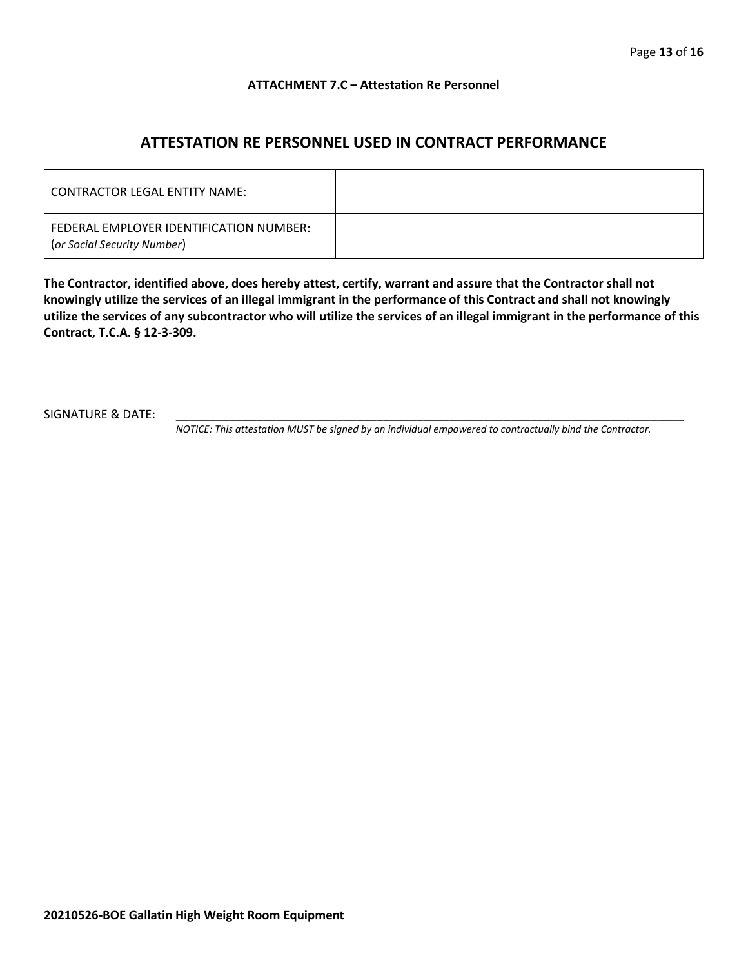#### **ATTACHMENT 7.C – Attestation Re Personnel**

# **ATTESTATION RE PERSONNEL USED IN CONTRACT PERFORMANCE**

| CONTRACTOR LEGAL ENTITY NAME:                                          |  |
|------------------------------------------------------------------------|--|
| FEDERAL EMPLOYER IDENTIFICATION NUMBER:<br>(or Social Security Number) |  |

**The Contractor, identified above, does hereby attest, certify, warrant and assure that the Contractor shall not knowingly utilize the services of an illegal immigrant in the performance of this Contract and shall not knowingly utilize the services of any subcontractor who will utilize the services of an illegal immigrant in the performance of this Contract, T.C.A. § 12-3-309.**

SIGNATURE & DATE:

*NOTICE: This attestation MUST be signed by an individual empowered to contractually bind the Contractor.*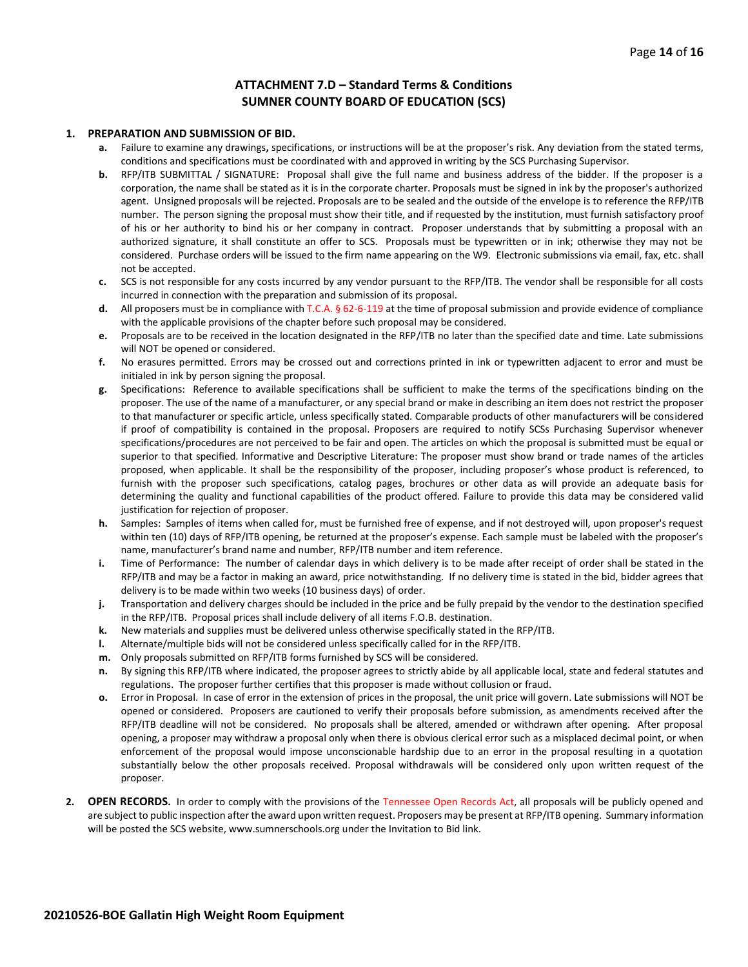#### **ATTACHMENT 7.D – Standard Terms & Conditions SUMNER COUNTY BOARD OF EDUCATION (SCS)**

#### **1. PREPARATION AND SUBMISSION OF BID.**

- **a.** Failure to examine any drawings**,** specifications, or instructions will be at the proposer's risk. Any deviation from the stated terms, conditions and specifications must be coordinated with and approved in writing by the SCS Purchasing Supervisor.
- **b.** RFP/ITB SUBMITTAL / SIGNATURE: Proposal shall give the full name and business address of the bidder. If the proposer is a corporation, the name shall be stated as it is in the corporate charter. Proposals must be signed in ink by the proposer's authorized agent. Unsigned proposals will be rejected. Proposals are to be sealed and the outside of the envelope is to reference the RFP/ITB number. The person signing the proposal must show their title, and if requested by the institution, must furnish satisfactory proof of his or her authority to bind his or her company in contract. Proposer understands that by submitting a proposal with an authorized signature, it shall constitute an offer to SCS. Proposals must be typewritten or in ink; otherwise they may not be considered. Purchase orders will be issued to the firm name appearing on the W9. Electronic submissions via email, fax, etc. shall not be accepted.
- **c.** SCS is not responsible for any costs incurred by any vendor pursuant to the RFP/ITB. The vendor shall be responsible for all costs incurred in connection with the preparation and submission of its proposal.
- **d.** All proposers must be in compliance with T.C.A. § 62-6-119 at the time of proposal submission and provide evidence of compliance with the applicable provisions of the chapter before such proposal may be considered.
- **e.** Proposals are to be received in the location designated in the RFP/ITB no later than the specified date and time. Late submissions will NOT be opened or considered.
- **f.** No erasures permitted. Errors may be crossed out and corrections printed in ink or typewritten adjacent to error and must be initialed in ink by person signing the proposal.
- **g.** Specifications: Reference to available specifications shall be sufficient to make the terms of the specifications binding on the proposer. The use of the name of a manufacturer, or any special brand or make in describing an item does not restrict the proposer to that manufacturer or specific article, unless specifically stated. Comparable products of other manufacturers will be considered if proof of compatibility is contained in the proposal. Proposers are required to notify SCSs Purchasing Supervisor whenever specifications/procedures are not perceived to be fair and open. The articles on which the proposal is submitted must be equal or superior to that specified. Informative and Descriptive Literature: The proposer must show brand or trade names of the articles proposed, when applicable. It shall be the responsibility of the proposer, including proposer's whose product is referenced, to furnish with the proposer such specifications, catalog pages, brochures or other data as will provide an adequate basis for determining the quality and functional capabilities of the product offered. Failure to provide this data may be considered valid justification for rejection of proposer.
- **h.** Samples: Samples of items when called for, must be furnished free of expense, and if not destroyed will, upon proposer's request within ten (10) days of RFP/ITB opening, be returned at the proposer's expense. Each sample must be labeled with the proposer's name, manufacturer's brand name and number, RFP/ITB number and item reference.
- **i.** Time of Performance: The number of calendar days in which delivery is to be made after receipt of order shall be stated in the RFP/ITB and may be a factor in making an award, price notwithstanding. If no delivery time is stated in the bid, bidder agrees that delivery is to be made within two weeks (10 business days) of order.
- **j.** Transportation and delivery charges should be included in the price and be fully prepaid by the vendor to the destination specified in the RFP/ITB. Proposal prices shall include delivery of all items F.O.B. destination.
- **k.** New materials and supplies must be delivered unless otherwise specifically stated in the RFP/ITB.
- **l.** Alternate/multiple bids will not be considered unless specifically called for in the RFP/ITB.
- **m.** Only proposals submitted on RFP/ITB forms furnished by SCS will be considered.
- **n.** By signing this RFP/ITB where indicated, the proposer agrees to strictly abide by all applicable local, state and federal statutes and regulations. The proposer further certifies that this proposer is made without collusion or fraud.
- **o.** Error in Proposal. In case of error in the extension of prices in the proposal, the unit price will govern. Late submissions will NOT be opened or considered. Proposers are cautioned to verify their proposals before submission, as amendments received after the RFP/ITB deadline will not be considered. No proposals shall be altered, amended or withdrawn after opening. After proposal opening, a proposer may withdraw a proposal only when there is obvious clerical error such as a misplaced decimal point, or when enforcement of the proposal would impose unconscionable hardship due to an error in the proposal resulting in a quotation substantially below the other proposals received. Proposal withdrawals will be considered only upon written request of the proposer.
- **2. OPEN RECORDS.** In order to comply with the provisions of the Tennessee Open Records Act, all proposals will be publicly opened and are subject to public inspection after the award upon written request. Proposers may be present at RFP/ITB opening. Summary information will be posted the SCS website, www.sumnerschools.org under the Invitation to Bid link.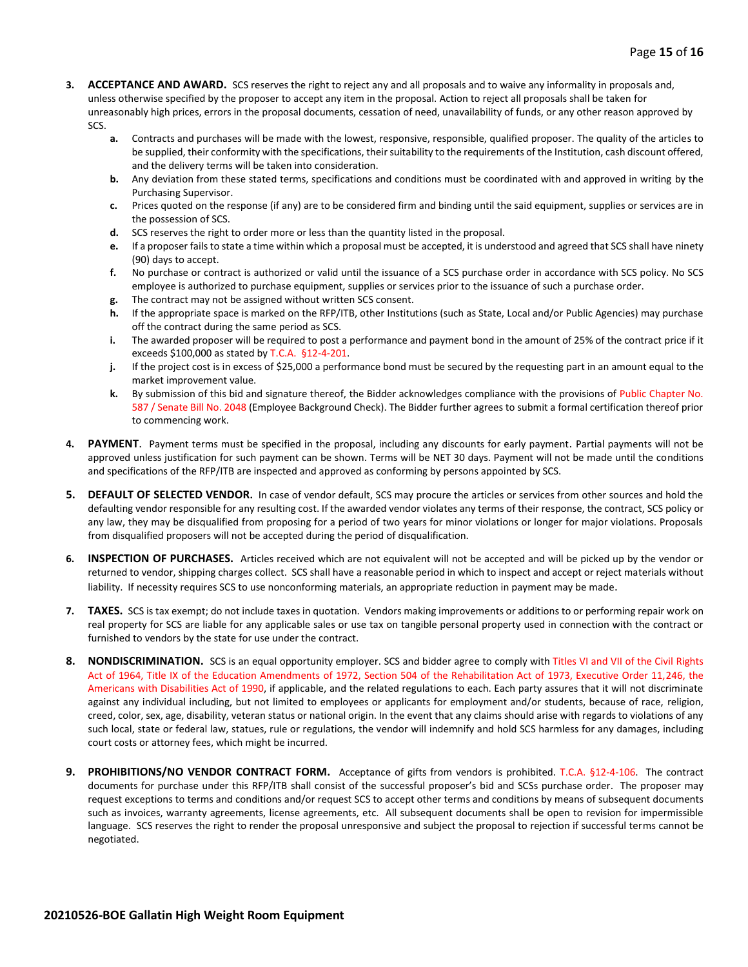- **3. ACCEPTANCE AND AWARD.** SCS reserves the right to reject any and all proposals and to waive any informality in proposals and, unless otherwise specified by the proposer to accept any item in the proposal. Action to reject all proposals shall be taken for unreasonably high prices, errors in the proposal documents, cessation of need, unavailability of funds, or any other reason approved by SCS.
	- **a.** Contracts and purchases will be made with the lowest, responsive, responsible, qualified proposer. The quality of the articles to be supplied, their conformity with the specifications, their suitability to the requirements of the Institution, cash discount offered, and the delivery terms will be taken into consideration.
	- **b.** Any deviation from these stated terms, specifications and conditions must be coordinated with and approved in writing by the Purchasing Supervisor.
	- **c.** Prices quoted on the response (if any) are to be considered firm and binding until the said equipment, supplies or services are in the possession of SCS.
	- **d.** SCS reserves the right to order more or less than the quantity listed in the proposal.
	- **e.** If a proposer fails to state a time within which a proposal must be accepted, it is understood and agreed that SCS shall have ninety (90) days to accept.
	- **f.** No purchase or contract is authorized or valid until the issuance of a SCS purchase order in accordance with SCS policy. No SCS employee is authorized to purchase equipment, supplies or services prior to the issuance of such a purchase order.
	- **g.** The contract may not be assigned without written SCS consent.
	- **h.** If the appropriate space is marked on the RFP/ITB, other Institutions (such as State, Local and/or Public Agencies) may purchase off the contract during the same period as SCS.
	- **i.** The awarded proposer will be required to post a performance and payment bond in the amount of 25% of the contract price if it exceeds \$100,000 as stated by T.C.A. §12-4-201.
	- **j.** If the project cost is in excess of \$25,000 a performance bond must be secured by the requesting part in an amount equal to the market improvement value.
	- **k.** By submission of this bid and signature thereof, the Bidder acknowledges compliance with the provisions of Public Chapter No. 587 / Senate Bill No. 2048 (Employee Background Check). The Bidder further agrees to submit a formal certification thereof prior to commencing work.
- **4. PAYMENT**. Payment terms must be specified in the proposal, including any discounts for early payment. Partial payments will not be approved unless justification for such payment can be shown. Terms will be NET 30 days. Payment will not be made until the conditions and specifications of the RFP/ITB are inspected and approved as conforming by persons appointed by SCS.
- **5. DEFAULT OF SELECTED VENDOR.** In case of vendor default, SCS may procure the articles or services from other sources and hold the defaulting vendor responsible for any resulting cost. If the awarded vendor violates any terms of their response, the contract, SCS policy or any law, they may be disqualified from proposing for a period of two years for minor violations or longer for major violations. Proposals from disqualified proposers will not be accepted during the period of disqualification.
- **6. INSPECTION OF PURCHASES.** Articles received which are not equivalent will not be accepted and will be picked up by the vendor or returned to vendor, shipping charges collect. SCS shall have a reasonable period in which to inspect and accept or reject materials without liability. If necessity requires SCS to use nonconforming materials, an appropriate reduction in payment may be made.
- **7. TAXES.** SCS is tax exempt; do not include taxes in quotation. Vendors making improvements or additions to or performing repair work on real property for SCS are liable for any applicable sales or use tax on tangible personal property used in connection with the contract or furnished to vendors by the state for use under the contract.
- **8. NONDISCRIMINATION.** SCS is an equal opportunity employer. SCS and bidder agree to comply with Titles VI and VII of the Civil Rights Act of 1964, Title IX of the Education Amendments of 1972, Section 504 of the Rehabilitation Act of 1973, Executive Order 11,246, the Americans with Disabilities Act of 1990, if applicable, and the related regulations to each. Each party assures that it will not discriminate against any individual including, but not limited to employees or applicants for employment and/or students, because of race, religion, creed, color, sex, age, disability, veteran status or national origin. In the event that any claims should arise with regards to violations of any such local, state or federal law, statues, rule or regulations, the vendor will indemnify and hold SCS harmless for any damages, including court costs or attorney fees, which might be incurred.
- **9. PROHIBITIONS/NO VENDOR CONTRACT FORM.** Acceptance of gifts from vendors is prohibited. T.C.A. §12-4-106. The contract documents for purchase under this RFP/ITB shall consist of the successful proposer's bid and SCSs purchase order. The proposer may request exceptions to terms and conditions and/or request SCS to accept other terms and conditions by means of subsequent documents such as invoices, warranty agreements, license agreements, etc. All subsequent documents shall be open to revision for impermissible language. SCS reserves the right to render the proposal unresponsive and subject the proposal to rejection if successful terms cannot be negotiated.